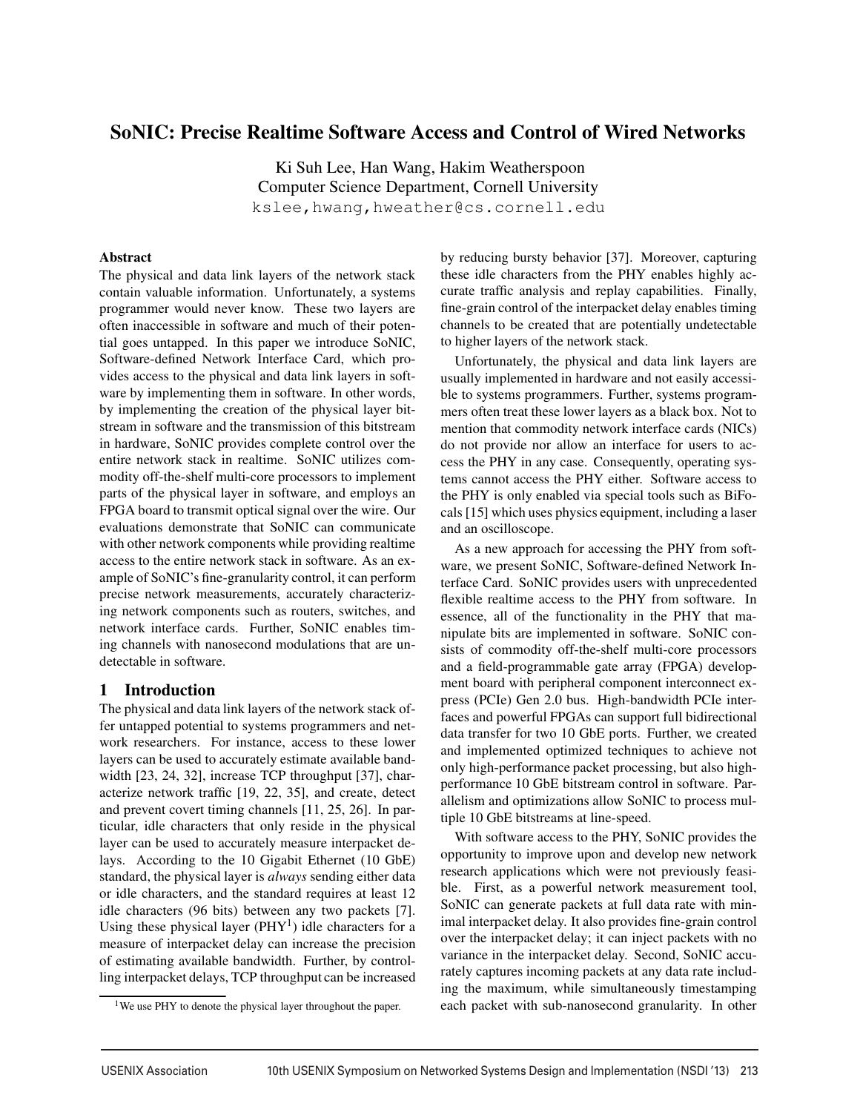# SoNIC: Precise Realtime Software Access and Control of Wired Networks

Ki Suh Lee, Han Wang, Hakim Weatherspoon Computer Science Department, Cornell University kslee,hwang,hweather@cs.cornell.edu

#### Abstract

The physical and data link layers of the network stack contain valuable information. Unfortunately, a systems programmer would never know. These two layers are often inaccessible in software and much of their potential goes untapped. In this paper we introduce SoNIC, Software-defined Network Interface Card, which provides access to the physical and data link layers in software by implementing them in software. In other words, by implementing the creation of the physical layer bitstream in software and the transmission of this bitstream in hardware, SoNIC provides complete control over the entire network stack in realtime. SoNIC utilizes commodity off-the-shelf multi-core processors to implement parts of the physical layer in software, and employs an FPGA board to transmit optical signal over the wire. Our evaluations demonstrate that SoNIC can communicate with other network components while providing realtime access to the entire network stack in software. As an example of SoNIC's fine-granularity control, it can perform precise network measurements, accurately characterizing network components such as routers, switches, and network interface cards. Further, SoNIC enables timing channels with nanosecond modulations that are undetectable in software.

### 1 Introduction

The physical and data link layers of the network stack offer untapped potential to systems programmers and network researchers. For instance, access to these lower layers can be used to accurately estimate available bandwidth [23, 24, 32], increase TCP throughput [37], characterize network traffic [19, 22, 35], and create, detect and prevent covert timing channels [11, 25, 26]. In particular, idle characters that only reside in the physical layer can be used to accurately measure interpacket delays. According to the 10 Gigabit Ethernet (10 GbE) standard, the physical layer is *always* sending either data or idle characters, and the standard requires at least 12 idle characters (96 bits) between any two packets [7]. Using these physical layer  $(PHY<sup>1</sup>)$  idle characters for a measure of interpacket delay can increase the precision of estimating available bandwidth. Further, by controlling interpacket delays, TCP throughput can be increased by reducing bursty behavior [37]. Moreover, capturing these idle characters from the PHY enables highly accurate traffic analysis and replay capabilities. Finally, fine-grain control of the interpacket delay enables timing channels to be created that are potentially undetectable to higher layers of the network stack.

Unfortunately, the physical and data link layers are usually implemented in hardware and not easily accessible to systems programmers. Further, systems programmers often treat these lower layers as a black box. Not to mention that commodity network interface cards (NICs) do not provide nor allow an interface for users to access the PHY in any case. Consequently, operating systems cannot access the PHY either. Software access to the PHY is only enabled via special tools such as BiFocals [15] which uses physics equipment, including a laser and an oscilloscope.

As a new approach for accessing the PHY from software, we present SoNIC, Software-defined Network Interface Card. SoNIC provides users with unprecedented flexible realtime access to the PHY from software. In essence, all of the functionality in the PHY that manipulate bits are implemented in software. SoNIC consists of commodity off-the-shelf multi-core processors and a field-programmable gate array (FPGA) development board with peripheral component interconnect express (PCIe) Gen 2.0 bus. High-bandwidth PCIe interfaces and powerful FPGAs can support full bidirectional data transfer for two 10 GbE ports. Further, we created and implemented optimized techniques to achieve not only high-performance packet processing, but also highperformance 10 GbE bitstream control in software. Parallelism and optimizations allow SoNIC to process multiple 10 GbE bitstreams at line-speed.

With software access to the PHY, SoNIC provides the opportunity to improve upon and develop new network research applications which were not previously feasible. First, as a powerful network measurement tool, SoNIC can generate packets at full data rate with minimal interpacket delay. It also provides fine-grain control over the interpacket delay; it can inject packets with no variance in the interpacket delay. Second, SoNIC accurately captures incoming packets at any data rate including the maximum, while simultaneously timestamping each packet with sub-nanosecond granularity. In other

-

<sup>&</sup>lt;sup>1</sup>We use PHY to denote the physical layer throughout the paper.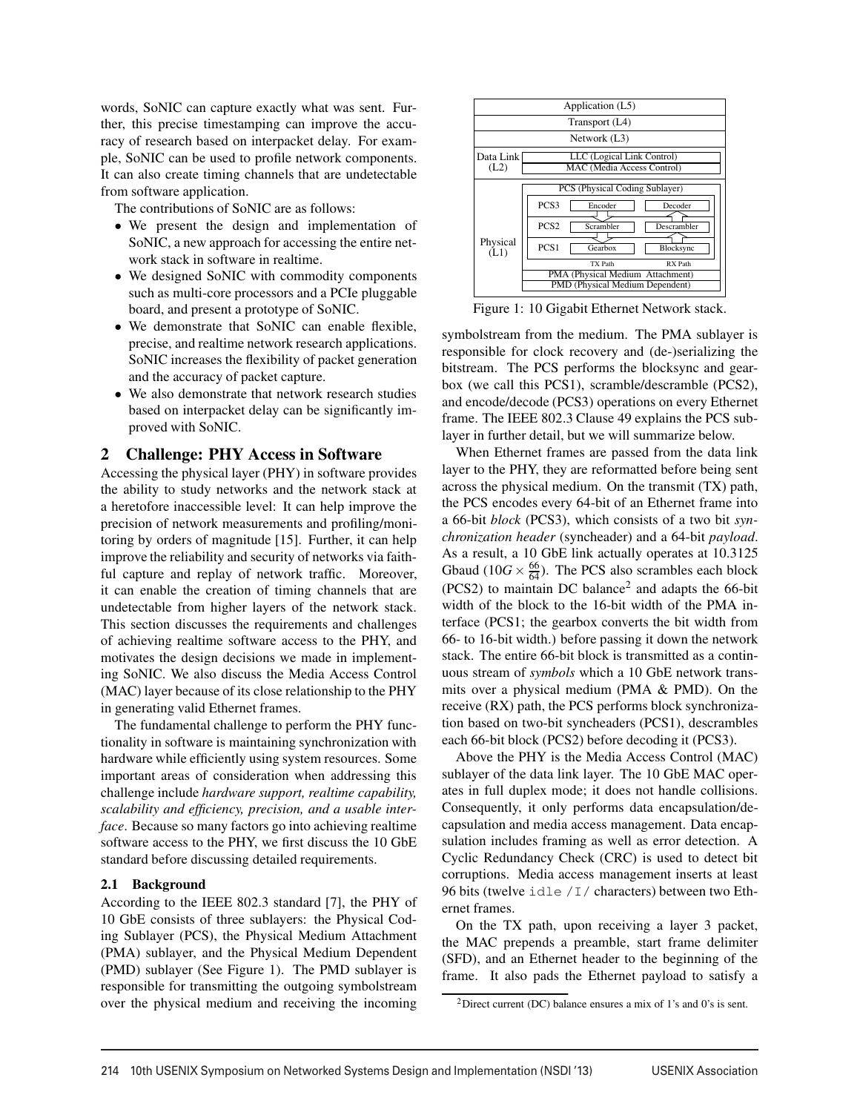words, SoNIC can capture exactly what was sent. Further, this precise timestamping can improve the accuracy of research based on interpacket delay. For example, SoNIC can be used to profile network components. It can also create timing channels that are undetectable from software application.

The contributions of SoNIC are as follows:

- We present the design and implementation of SoNIC, a new approach for accessing the entire network stack in software in realtime.
- We designed SoNIC with commodity components such as multi-core processors and a PCIe pluggable board, and present a prototype of SoNIC.
- We demonstrate that SoNIC can enable flexible, precise, and realtime network research applications. SoNIC increases the flexibility of packet generation and the accuracy of packet capture.
- We also demonstrate that network research studies based on interpacket delay can be significantly improved with SoNIC.

## 2 Challenge: PHY Access in Software

Accessing the physical layer (PHY) in software provides the ability to study networks and the network stack at a heretofore inaccessible level: It can help improve the precision of network measurements and profiling/monitoring by orders of magnitude [15]. Further, it can help improve the reliability and security of networks via faithful capture and replay of network traffic. Moreover, it can enable the creation of timing channels that are undetectable from higher layers of the network stack. This section discusses the requirements and challenges of achieving realtime software access to the PHY, and motivates the design decisions we made in implementing SoNIC. We also discuss the Media Access Control (MAC) layer because of its close relationship to the PHY in generating valid Ethernet frames.

The fundamental challenge to perform the PHY functionality in software is maintaining synchronization with hardware while efficiently using system resources. Some important areas of consideration when addressing this challenge include *hardware support, realtime capability, scalability and efficiency, precision, and a usable interface*. Because so many factors go into achieving realtime software access to the PHY, we first discuss the 10 GbE standard before discussing detailed requirements.

#### 2.1 Background

According to the IEEE 802.3 standard [7], the PHY of 10 GbE consists of three sublayers: the Physical Coding Sublayer (PCS), the Physical Medium Attachment (PMA) sublayer, and the Physical Medium Dependent (PMD) sublayer (See Figure 1). The PMD sublayer is responsible for transmitting the outgoing symbolstream over the physical medium and receiving the incoming

|                                                                               | Application (L5)                             |  |  |  |  |  |  |  |  |
|-------------------------------------------------------------------------------|----------------------------------------------|--|--|--|--|--|--|--|--|
| Transport (L4)                                                                |                                              |  |  |  |  |  |  |  |  |
| Network (L3)                                                                  |                                              |  |  |  |  |  |  |  |  |
| Data Link<br>LLC (Logical Link Control)<br>(L2)<br>MAC (Media Access Control) |                                              |  |  |  |  |  |  |  |  |
| PCS (Physical Coding Sublayer)                                                |                                              |  |  |  |  |  |  |  |  |
| Physical<br>(L1)                                                              | PCS <sub>3</sub><br>Encoder<br>Decoder       |  |  |  |  |  |  |  |  |
|                                                                               | PCS <sub>2</sub><br>Scrambler<br>Descrambler |  |  |  |  |  |  |  |  |
|                                                                               | PCS <sub>1</sub><br>Gearbox<br>Blocksync     |  |  |  |  |  |  |  |  |
|                                                                               | TX Path<br>RX Path                           |  |  |  |  |  |  |  |  |
|                                                                               | PMA (Physical Medium Attachment)             |  |  |  |  |  |  |  |  |
|                                                                               | PMD (Physical Medium Dependent)              |  |  |  |  |  |  |  |  |

Figure 1: 10 Gigabit Ethernet Network stack.

symbolstream from the medium. The PMA sublayer is responsible for clock recovery and (de-)serializing the bitstream. The PCS performs the blocksync and gearbox (we call this PCS1), scramble/descramble (PCS2), and encode/decode (PCS3) operations on every Ethernet frame. The IEEE 802.3 Clause 49 explains the PCS sublayer in further detail, but we will summarize below.

When Ethernet frames are passed from the data link layer to the PHY, they are reformatted before being sent across the physical medium. On the transmit (TX) path, the PCS encodes every 64-bit of an Ethernet frame into a 66-bit *block* (PCS3), which consists of a two bit *synchronization header* (syncheader) and a 64-bit *payload*. As a result, a 10 GbE link actually operates at 10.3125 Gbaud (10*G*  $\times \frac{66}{64}$ ). The PCS also scrambles each block  $(PCS2)$  to maintain DC balance<sup>2</sup> and adapts the 66-bit width of the block to the 16-bit width of the PMA interface (PCS1; the gearbox converts the bit width from 66- to 16-bit width.) before passing it down the network stack. The entire 66-bit block is transmitted as a continuous stream of *symbols* which a 10 GbE network transmits over a physical medium (PMA & PMD). On the receive (RX) path, the PCS performs block synchronization based on two-bit syncheaders (PCS1), descrambles each 66-bit block (PCS2) before decoding it (PCS3).

Above the PHY is the Media Access Control (MAC) sublayer of the data link layer. The 10 GbE MAC operates in full duplex mode; it does not handle collisions. Consequently, it only performs data encapsulation/decapsulation and media access management. Data encapsulation includes framing as well as error detection. A Cyclic Redundancy Check (CRC) is used to detect bit corruptions. Media access management inserts at least 96 bits (twelve idle /I/ characters) between two Ethernet frames.

On the TX path, upon receiving a layer 3 packet, the MAC prepends a preamble, start frame delimiter (SFD), and an Ethernet header to the beginning of the frame. It also pads the Ethernet payload to satisfy a

<sup>2</sup>Direct current (DC) balance ensures a mix of 1's and 0's is sent.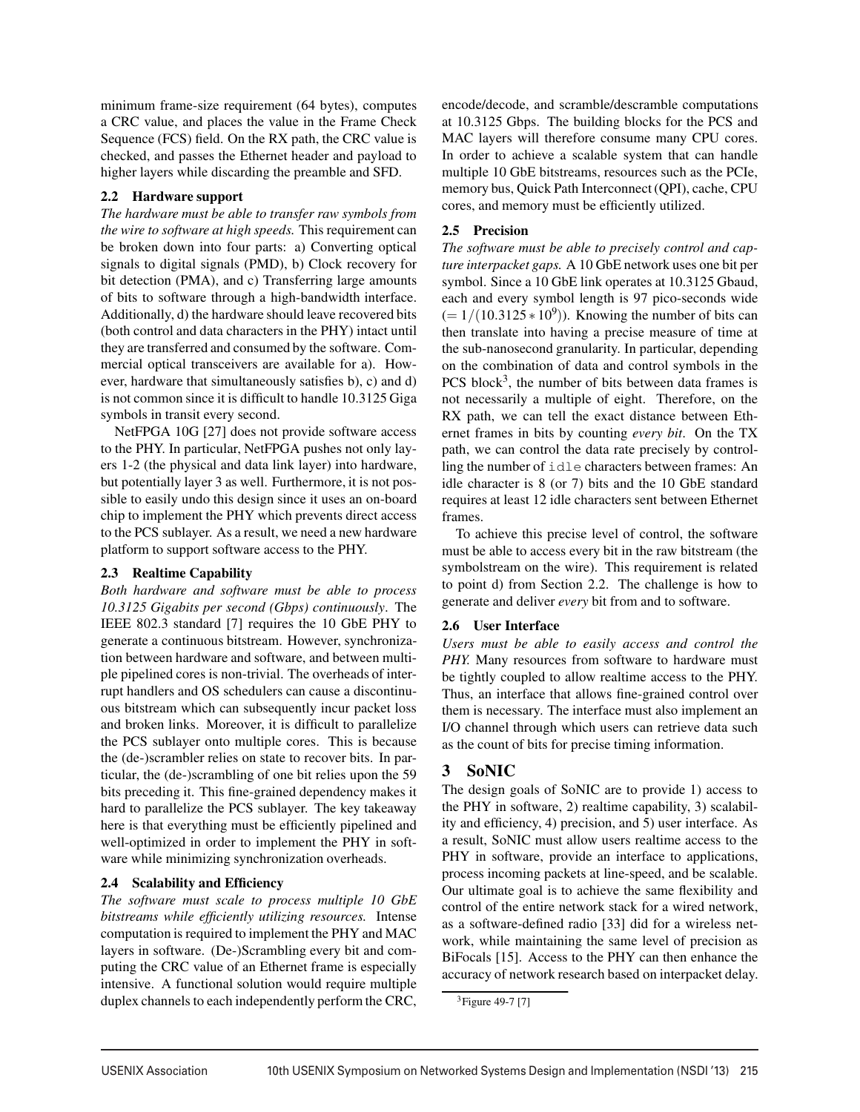minimum frame-size requirement (64 bytes), computes a CRC value, and places the value in the Frame Check Sequence (FCS) field. On the RX path, the CRC value is checked, and passes the Ethernet header and payload to higher layers while discarding the preamble and SFD.

### 2.2 Hardware support

*The hardware must be able to transfer raw symbols from the wire to software at high speeds.* This requirement can be broken down into four parts: a) Converting optical signals to digital signals (PMD), b) Clock recovery for bit detection (PMA), and c) Transferring large amounts of bits to software through a high-bandwidth interface. Additionally, d) the hardware should leave recovered bits (both control and data characters in the PHY) intact until they are transferred and consumed by the software. Commercial optical transceivers are available for a). However, hardware that simultaneously satisfies b), c) and d) is not common since it is difficult to handle 10.3125 Giga symbols in transit every second.

NetFPGA 10G [27] does not provide software access to the PHY. In particular, NetFPGA pushes not only layers 1-2 (the physical and data link layer) into hardware, but potentially layer 3 as well. Furthermore, it is not possible to easily undo this design since it uses an on-board chip to implement the PHY which prevents direct access to the PCS sublayer. As a result, we need a new hardware platform to support software access to the PHY.

#### 2.3 Realtime Capability

*Both hardware and software must be able to process 10.3125 Gigabits per second (Gbps) continuously*. The IEEE 802.3 standard [7] requires the 10 GbE PHY to generate a continuous bitstream. However, synchronization between hardware and software, and between multiple pipelined cores is non-trivial. The overheads of interrupt handlers and OS schedulers can cause a discontinuous bitstream which can subsequently incur packet loss and broken links. Moreover, it is difficult to parallelize the PCS sublayer onto multiple cores. This is because the (de-)scrambler relies on state to recover bits. In particular, the (de-)scrambling of one bit relies upon the 59 bits preceding it. This fine-grained dependency makes it hard to parallelize the PCS sublayer. The key takeaway here is that everything must be efficiently pipelined and well-optimized in order to implement the PHY in software while minimizing synchronization overheads.

#### 2.4 Scalability and Efficiency

*The software must scale to process multiple 10 GbE bitstreams while efficiently utilizing resources.* Intense computation is required to implement the PHY and MAC layers in software. (De-)Scrambling every bit and computing the CRC value of an Ethernet frame is especially intensive. A functional solution would require multiple duplex channels to each independently perform the CRC, encode/decode, and scramble/descramble computations at 10.3125 Gbps. The building blocks for the PCS and MAC layers will therefore consume many CPU cores. In order to achieve a scalable system that can handle multiple 10 GbE bitstreams, resources such as the PCIe, memory bus, Quick Path Interconnect (QPI), cache, CPU cores, and memory must be efficiently utilized.

### 2.5 Precision

*The software must be able to precisely control and capture interpacket gaps.* A 10 GbE network uses one bit per symbol. Since a 10 GbE link operates at 10.3125 Gbaud, each and every symbol length is 97 pico-seconds wide  $(= 1/(10.3125 * 10<sup>9</sup>))$ . Knowing the number of bits can then translate into having a precise measure of time at the sub-nanosecond granularity. In particular, depending on the combination of data and control symbols in the PCS block<sup>3</sup>, the number of bits between data frames is not necessarily a multiple of eight. Therefore, on the RX path, we can tell the exact distance between Ethernet frames in bits by counting *every bit*. On the TX path, we can control the data rate precisely by controlling the number of idle characters between frames: An idle character is 8 (or 7) bits and the 10 GbE standard requires at least 12 idle characters sent between Ethernet frames.

To achieve this precise level of control, the software must be able to access every bit in the raw bitstream (the symbolstream on the wire). This requirement is related to point d) from Section 2.2. The challenge is how to generate and deliver *every* bit from and to software.

### 2.6 User Interface

*Users must be able to easily access and control the* PHY. Many resources from software to hardware must be tightly coupled to allow realtime access to the PHY. Thus, an interface that allows fine-grained control over them is necessary. The interface must also implement an I/O channel through which users can retrieve data such as the count of bits for precise timing information.

### 3 SoNIC

The design goals of SoNIC are to provide 1) access to the PHY in software, 2) realtime capability, 3) scalability and efficiency, 4) precision, and 5) user interface. As a result, SoNIC must allow users realtime access to the PHY in software, provide an interface to applications, process incoming packets at line-speed, and be scalable. Our ultimate goal is to achieve the same flexibility and control of the entire network stack for a wired network, as a software-defined radio [33] did for a wireless network, while maintaining the same level of precision as BiFocals [15]. Access to the PHY can then enhance the accuracy of network research based on interpacket delay.

 $3$ Figure 49-7 [7]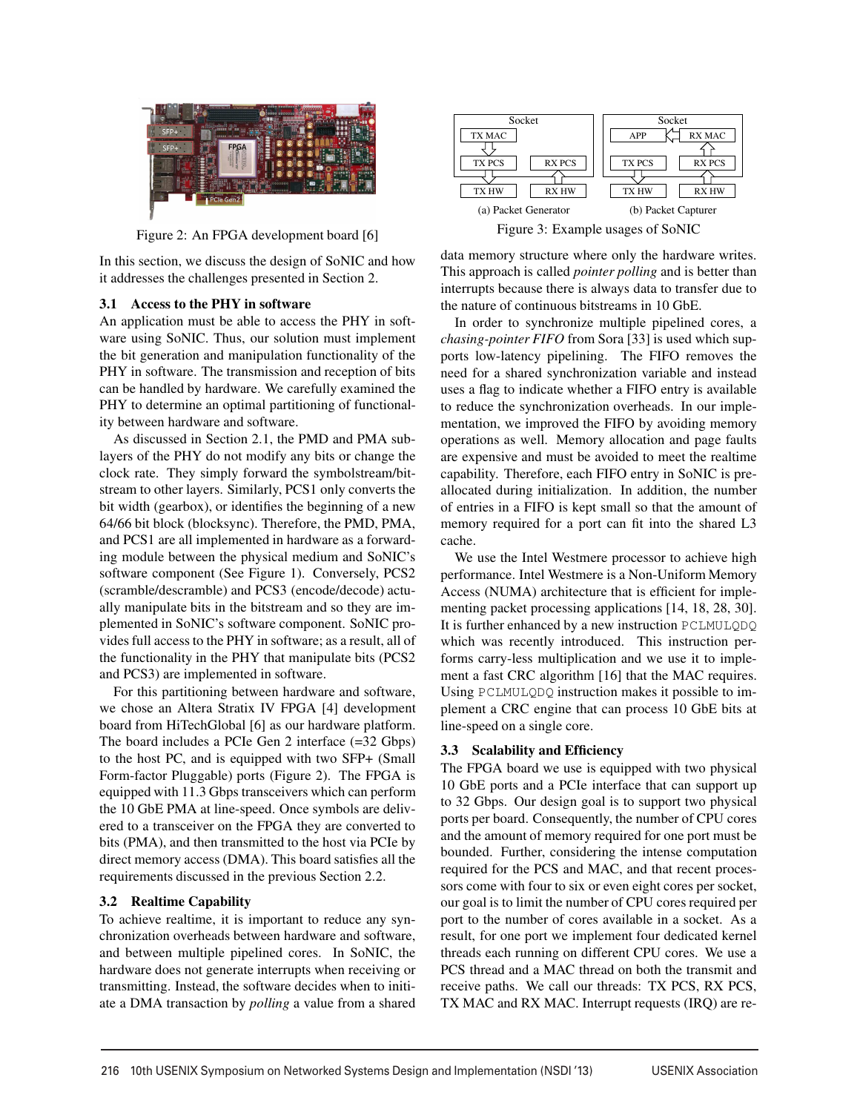

Figure 2: An FPGA development board [6]

In this section, we discuss the design of SoNIC and how it addresses the challenges presented in Section 2.

#### 3.1 Access to the PHY in software

An application must be able to access the PHY in software using SoNIC. Thus, our solution must implement the bit generation and manipulation functionality of the PHY in software. The transmission and reception of bits can be handled by hardware. We carefully examined the PHY to determine an optimal partitioning of functionality between hardware and software.

As discussed in Section 2.1, the PMD and PMA sublayers of the PHY do not modify any bits or change the clock rate. They simply forward the symbolstream/bitstream to other layers. Similarly, PCS1 only converts the bit width (gearbox), or identifies the beginning of a new 64/66 bit block (blocksync). Therefore, the PMD, PMA, and PCS1 are all implemented in hardware as a forwarding module between the physical medium and SoNIC's software component (See Figure 1). Conversely, PCS2 (scramble/descramble) and PCS3 (encode/decode) actually manipulate bits in the bitstream and so they are implemented in SoNIC's software component. SoNIC provides full access to the PHY in software; as a result, all of the functionality in the PHY that manipulate bits (PCS2 and PCS3) are implemented in software.

For this partitioning between hardware and software, we chose an Altera Stratix IV FPGA [4] development board from HiTechGlobal [6] as our hardware platform. The board includes a PCIe Gen 2 interface (=32 Gbps) to the host PC, and is equipped with two SFP+ (Small Form-factor Pluggable) ports (Figure 2). The FPGA is equipped with 11.3 Gbps transceivers which can perform the 10 GbE PMA at line-speed. Once symbols are delivered to a transceiver on the FPGA they are converted to bits (PMA), and then transmitted to the host via PCIe by direct memory access (DMA). This board satisfies all the requirements discussed in the previous Section 2.2.

### 3.2 Realtime Capability

To achieve realtime, it is important to reduce any synchronization overheads between hardware and software, and between multiple pipelined cores. In SoNIC, the hardware does not generate interrupts when receiving or transmitting. Instead, the software decides when to initiate a DMA transaction by *polling* a value from a shared



Figure 3: Example usages of SoNIC

data memory structure where only the hardware writes. This approach is called *pointer polling* and is better than interrupts because there is always data to transfer due to the nature of continuous bitstreams in 10 GbE.

In order to synchronize multiple pipelined cores, a *chasing-pointer FIFO* from Sora [33] is used which supports low-latency pipelining. The FIFO removes the need for a shared synchronization variable and instead uses a flag to indicate whether a FIFO entry is available to reduce the synchronization overheads. In our implementation, we improved the FIFO by avoiding memory operations as well. Memory allocation and page faults are expensive and must be avoided to meet the realtime capability. Therefore, each FIFO entry in SoNIC is preallocated during initialization. In addition, the number of entries in a FIFO is kept small so that the amount of memory required for a port can fit into the shared L3 cache.

We use the Intel Westmere processor to achieve high performance. Intel Westmere is a Non-Uniform Memory Access (NUMA) architecture that is efficient for implementing packet processing applications [14, 18, 28, 30]. It is further enhanced by a new instruction PCLMULQDQ which was recently introduced. This instruction performs carry-less multiplication and we use it to implement a fast CRC algorithm [16] that the MAC requires. Using PCLMULQDQ instruction makes it possible to implement a CRC engine that can process 10 GbE bits at line-speed on a single core.

### 3.3 Scalability and Efficiency

The FPGA board we use is equipped with two physical 10 GbE ports and a PCIe interface that can support up to 32 Gbps. Our design goal is to support two physical ports per board. Consequently, the number of CPU cores and the amount of memory required for one port must be bounded. Further, considering the intense computation required for the PCS and MAC, and that recent processors come with four to six or even eight cores per socket, our goal is to limit the number of CPU cores required per port to the number of cores available in a socket. As a result, for one port we implement four dedicated kernel threads each running on different CPU cores. We use a PCS thread and a MAC thread on both the transmit and receive paths. We call our threads: TX PCS, RX PCS, TX MAC and RX MAC. Interrupt requests (IRQ) are re-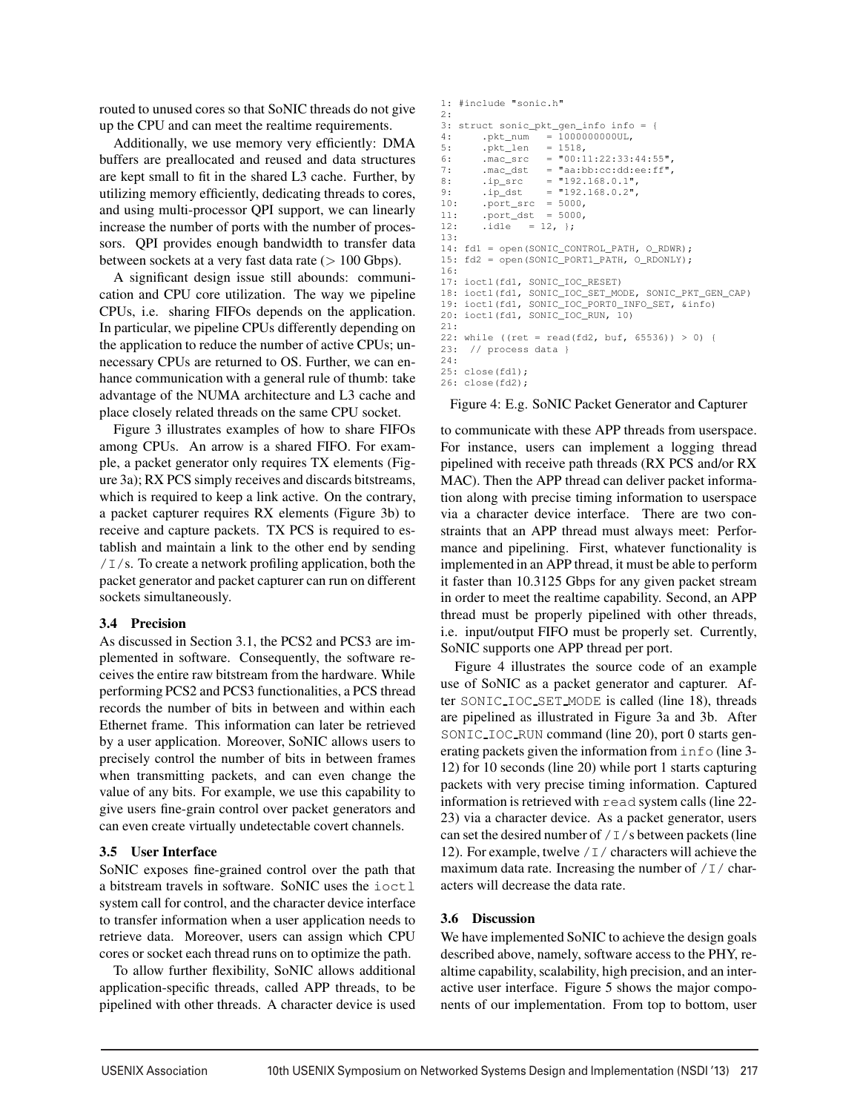routed to unused cores so that SoNIC threads do not give up the CPU and can meet the realtime requirements.

Additionally, we use memory very efficiently: DMA buffers are preallocated and reused and data structures are kept small to fit in the shared L3 cache. Further, by utilizing memory efficiently, dedicating threads to cores, and using multi-processor QPI support, we can linearly increase the number of ports with the number of processors. QPI provides enough bandwidth to transfer data between sockets at a very fast data rate  $(> 100 \text{ Gbps}).$ 

A significant design issue still abounds: communication and CPU core utilization. The way we pipeline CPUs, i.e. sharing FIFOs depends on the application. In particular, we pipeline CPUs differently depending on the application to reduce the number of active CPUs; unnecessary CPUs are returned to OS. Further, we can enhance communication with a general rule of thumb: take advantage of the NUMA architecture and L3 cache and place closely related threads on the same CPU socket.

Figure 3 illustrates examples of how to share FIFOs among CPUs. An arrow is a shared FIFO. For example, a packet generator only requires TX elements (Figure 3a); RX PCS simply receives and discards bitstreams, which is required to keep a link active. On the contrary, a packet capturer requires RX elements (Figure 3b) to receive and capture packets. TX PCS is required to establish and maintain a link to the other end by sending  $/$  I  $/s$ . To create a network profiling application, both the packet generator and packet capturer can run on different sockets simultaneously.

### 3.4 Precision

As discussed in Section 3.1, the PCS2 and PCS3 are implemented in software. Consequently, the software receives the entire raw bitstream from the hardware. While performing PCS2 and PCS3 functionalities, a PCS thread records the number of bits in between and within each Ethernet frame. This information can later be retrieved by a user application. Moreover, SoNIC allows users to precisely control the number of bits in between frames when transmitting packets, and can even change the value of any bits. For example, we use this capability to give users fine-grain control over packet generators and can even create virtually undetectable covert channels.

#### 3.5 User Interface

SoNIC exposes fine-grained control over the path that a bitstream travels in software. SoNIC uses the ioctl system call for control, and the character device interface to transfer information when a user application needs to retrieve data. Moreover, users can assign which CPU cores or socket each thread runs on to optimize the path.

To allow further flexibility, SoNIC allows additional application-specific threads, called APP threads, to be pipelined with other threads. A character device is used

```
1: #include "sonic.h"
2.23: struct sonic_pkt_gen_info info = {
4: .pkt_num = 10000000000UL,<br>5: .pkt_len = 1518,
5: .pkt_len<br>6: .mac_src
                    = "00:11:22:33:44:55",7: mac\_dst = "aa:bb:cc:dd:ee:ff",8: .ip_src = "192.168.0.1",<br>9: .ip_dst = "192.168.0.2",
                    = "192.168.0.2"10: .port_src = 5000,<br>11: .port dst = 5000.
11: .port\_dst = 5000,<br>12: .idle = 12, ?;idle = 12, };
13:
14: fd1 = open(SONIC_CONTROL_PATH, O_RDWR);
15: fd2 = open(SONIC_PORT1_PATH, O_RDONLY);
16:
17: ioctl(fd1, SONIC_IOC_RESET)
18: ioctl(fd1, SONIC_IOC_SET_MODE, SONIC_PKT_GEN_CAP)
19: ioctl(fd1, SONIC_IOC_PORT0_INFO_SET, &info)
20: ioctl(fd1, SONIC_IOC_RUN, 10)
21:
22: while ((ret = read(fd2, buf, 65536)) > 0) {
23: // process data }
24:
25: close(fd1);
26: close(fd2);
```
Figure 4: E.g. SoNIC Packet Generator and Capturer

to communicate with these APP threads from userspace. For instance, users can implement a logging thread pipelined with receive path threads (RX PCS and/or RX MAC). Then the APP thread can deliver packet information along with precise timing information to userspace via a character device interface. There are two constraints that an APP thread must always meet: Performance and pipelining. First, whatever functionality is implemented in an APP thread, it must be able to perform it faster than 10.3125 Gbps for any given packet stream in order to meet the realtime capability. Second, an APP thread must be properly pipelined with other threads, i.e. input/output FIFO must be properly set. Currently, SoNIC supports one APP thread per port.

Figure 4 illustrates the source code of an example use of SoNIC as a packet generator and capturer. After SONIC IOC SET MODE is called (line 18), threads are pipelined as illustrated in Figure 3a and 3b. After SONIC IOC RUN command (line 20), port 0 starts generating packets given the information from info (line 3- 12) for 10 seconds (line 20) while port 1 starts capturing packets with very precise timing information. Captured information is retrieved with read system calls (line 22- 23) via a character device. As a packet generator, users can set the desired number of  $/1/s$  between packets (line 12). For example, twelve  $/1/$  characters will achieve the maximum data rate. Increasing the number of  $/1/$  characters will decrease the data rate.

### 3.6 Discussion

5

We have implemented SoNIC to achieve the design goals described above, namely, software access to the PHY, realtime capability, scalability, high precision, and an interactive user interface. Figure 5 shows the major components of our implementation. From top to bottom, user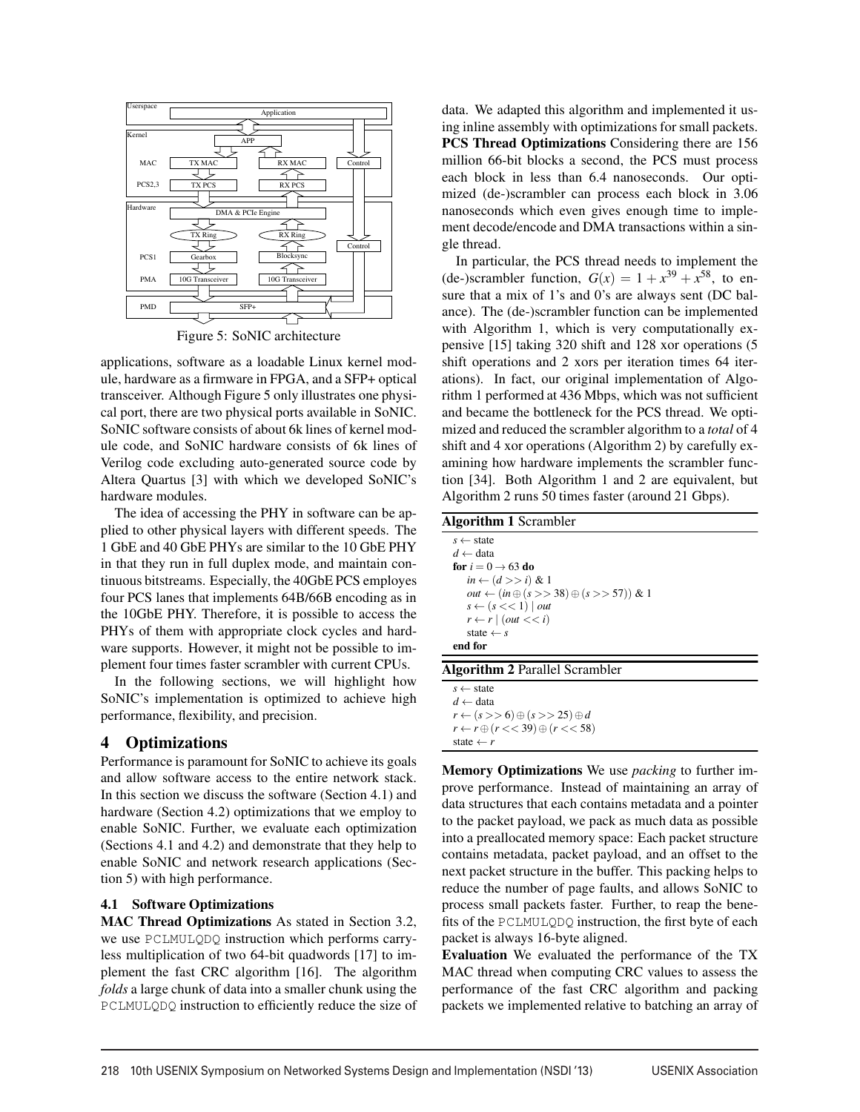

Figure 5: SoNIC architecture

applications, software as a loadable Linux kernel module, hardware as a firmware in FPGA, and a SFP+ optical transceiver. Although Figure 5 only illustrates one physical port, there are two physical ports available in SoNIC. SoNIC software consists of about 6k lines of kernel module code, and SoNIC hardware consists of 6k lines of Verilog code excluding auto-generated source code by Altera Quartus [3] with which we developed SoNIC's hardware modules.

The idea of accessing the PHY in software can be applied to other physical layers with different speeds. The 1 GbE and 40 GbE PHYs are similar to the 10 GbE PHY in that they run in full duplex mode, and maintain continuous bitstreams. Especially, the 40GbE PCS employes four PCS lanes that implements 64B/66B encoding as in the 10GbE PHY. Therefore, it is possible to access the PHYs of them with appropriate clock cycles and hardware supports. However, it might not be possible to implement four times faster scrambler with current CPUs.

In the following sections, we will highlight how SoNIC's implementation is optimized to achieve high performance, flexibility, and precision.

# 4 Optimizations

Performance is paramount for SoNIC to achieve its goals and allow software access to the entire network stack. In this section we discuss the software (Section 4.1) and hardware (Section 4.2) optimizations that we employ to enable SoNIC. Further, we evaluate each optimization (Sections 4.1 and 4.2) and demonstrate that they help to enable SoNIC and network research applications (Section 5) with high performance.

### 4.1 Software Optimizations

MAC Thread Optimizations As stated in Section 3.2, we use PCLMULQDQ instruction which performs carryless multiplication of two 64-bit quadwords [17] to implement the fast CRC algorithm [16]. The algorithm *folds* a large chunk of data into a smaller chunk using the PCLMULQDQ instruction to efficiently reduce the size of data. We adapted this algorithm and implemented it using inline assembly with optimizations for small packets. PCS Thread Optimizations Considering there are 156 million 66-bit blocks a second, the PCS must process each block in less than 6.4 nanoseconds. Our optimized (de-)scrambler can process each block in 3.06 nanoseconds which even gives enough time to implement decode/encode and DMA transactions within a single thread.

In particular, the PCS thread needs to implement the (de-)scrambler function,  $G(x) = 1 + x^{39} + x^{58}$ , to ensure that a mix of 1's and 0's are always sent (DC balance). The (de-)scrambler function can be implemented with Algorithm 1, which is very computationally expensive [15] taking 320 shift and 128 xor operations (5 shift operations and 2 xors per iteration times 64 iterations). In fact, our original implementation of Algorithm 1 performed at 436 Mbps, which was not sufficient and became the bottleneck for the PCS thread. We optimized and reduced the scrambler algorithm to a *total* of 4 shift and 4 xor operations (Algorithm 2) by carefully examining how hardware implements the scrambler function [34]. Both Algorithm 1 and 2 are equivalent, but Algorithm 2 runs 50 times faster (around 21 Gbps).

Memory Optimizations We use *packing* to further improve performance. Instead of maintaining an array of data structures that each contains metadata and a pointer to the packet payload, we pack as much data as possible into a preallocated memory space: Each packet structure contains metadata, packet payload, and an offset to the next packet structure in the buffer. This packing helps to reduce the number of page faults, and allows SoNIC to process small packets faster. Further, to reap the benefits of the PCLMULQDQ instruction, the first byte of each packet is always 16-byte aligned.

Evaluation We evaluated the performance of the TX MAC thread when computing CRC values to assess the performance of the fast CRC algorithm and packing packets we implemented relative to batching an array of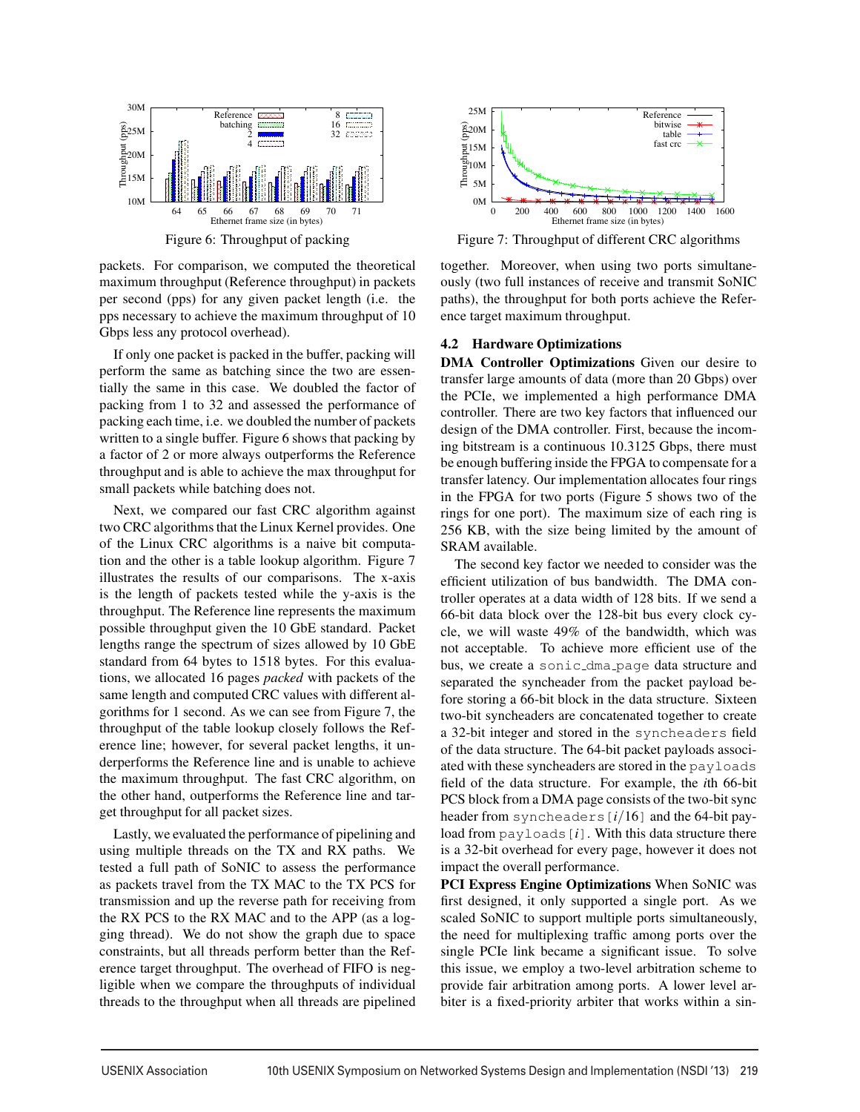

Figure 6: Throughput of packing

packets. For comparison, we computed the theoretical maximum throughput (Reference throughput) in packets per second (pps) for any given packet length (i.e. the pps necessary to achieve the maximum throughput of 10 Gbps less any protocol overhead).

If only one packet is packed in the buffer, packing will perform the same as batching since the two are essentially the same in this case. We doubled the factor of packing from 1 to 32 and assessed the performance of packing each time, i.e. we doubled the number of packets written to a single buffer. Figure 6 shows that packing by a factor of 2 or more always outperforms the Reference throughput and is able to achieve the max throughput for small packets while batching does not.

Next, we compared our fast CRC algorithm against two CRC algorithms that the Linux Kernel provides. One of the Linux CRC algorithms is a naive bit computation and the other is a table lookup algorithm. Figure 7 illustrates the results of our comparisons. The x-axis is the length of packets tested while the y-axis is the throughput. The Reference line represents the maximum possible throughput given the 10 GbE standard. Packet lengths range the spectrum of sizes allowed by 10 GbE standard from 64 bytes to 1518 bytes. For this evaluations, we allocated 16 pages *packed* with packets of the same length and computed CRC values with different algorithms for 1 second. As we can see from Figure 7, the throughput of the table lookup closely follows the Reference line; however, for several packet lengths, it underperforms the Reference line and is unable to achieve the maximum throughput. The fast CRC algorithm, on the other hand, outperforms the Reference line and target throughput for all packet sizes.

Lastly, we evaluated the performance of pipelining and using multiple threads on the TX and RX paths. We tested a full path of SoNIC to assess the performance as packets travel from the TX MAC to the TX PCS for transmission and up the reverse path for receiving from the RX PCS to the RX MAC and to the APP (as a logging thread). We do not show the graph due to space constraints, but all threads perform better than the Reference target throughput. The overhead of FIFO is negligible when we compare the throughputs of individual threads to the throughput when all threads are pipelined



Figure 7: Throughput of different CRC algorithms

together. Moreover, when using two ports simultaneously (two full instances of receive and transmit SoNIC paths), the throughput for both ports achieve the Reference target maximum throughput.

### 4.2 Hardware Optimizations

DMA Controller Optimizations Given our desire to transfer large amounts of data (more than 20 Gbps) over the PCIe, we implemented a high performance DMA controller. There are two key factors that influenced our design of the DMA controller. First, because the incoming bitstream is a continuous 10.3125 Gbps, there must be enough buffering inside the FPGA to compensate for a transfer latency. Our implementation allocates four rings in the FPGA for two ports (Figure 5 shows two of the rings for one port). The maximum size of each ring is 256 KB, with the size being limited by the amount of SRAM available.

The second key factor we needed to consider was the efficient utilization of bus bandwidth. The DMA controller operates at a data width of 128 bits. If we send a 66-bit data block over the 128-bit bus every clock cycle, we will waste 49% of the bandwidth, which was not acceptable. To achieve more efficient use of the bus, we create a sonic\_dma\_page data structure and separated the syncheader from the packet payload before storing a 66-bit block in the data structure. Sixteen two-bit syncheaders are concatenated together to create a 32-bit integer and stored in the syncheaders field of the data structure. The 64-bit packet payloads associated with these syncheaders are stored in the payloads field of the data structure. For example, the *i*th 66-bit PCS block from a DMA page consists of the two-bit sync header from syncheaders[*i*/16] and the 64-bit payload from payloads[*i*]. With this data structure there is a 32-bit overhead for every page, however it does not impact the overall performance.

PCI Express Engine Optimizations When SoNIC was first designed, it only supported a single port. As we scaled SoNIC to support multiple ports simultaneously, the need for multiplexing traffic among ports over the single PCIe link became a significant issue. To solve this issue, we employ a two-level arbitration scheme to provide fair arbitration among ports. A lower level arbiter is a fixed-priority arbiter that works within a sin-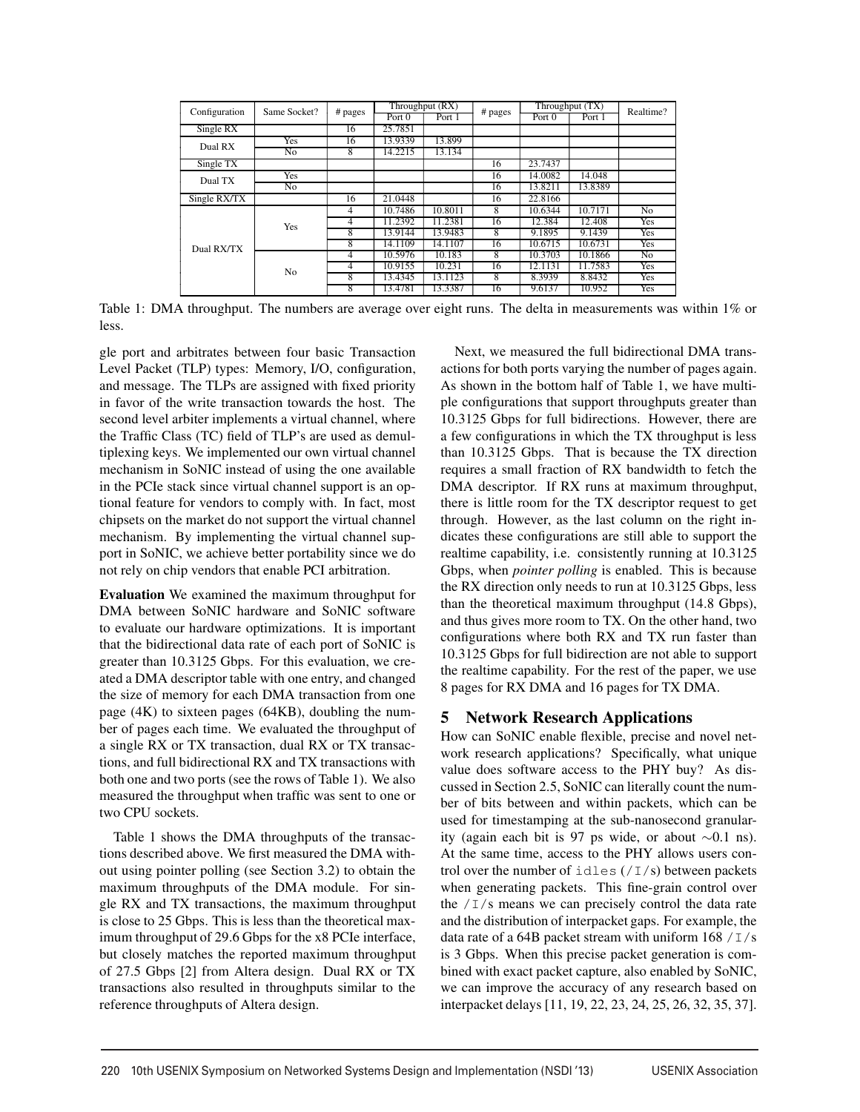| Configuration | Same Socket? | # pages | Throughput (RX) |         |         | Throughput (TX) |         | Realtime?      |
|---------------|--------------|---------|-----------------|---------|---------|-----------------|---------|----------------|
|               |              |         | Port 0          | Port 1  | # pages | Port 0          | Port 1  |                |
| Single RX     |              | 16      | 25.7851         |         |         |                 |         |                |
| Dual RX       | <b>Yes</b>   | 16      | 13.9339         | 13.899  |         |                 |         |                |
|               | No           | 8       | 14.2215         | 13.134  |         |                 |         |                |
| Single TX     |              |         |                 |         | 16      | 23.7437         |         |                |
| Dual TX       | <b>Yes</b>   |         |                 |         | 16      | 14.0082         | 14.048  |                |
|               | No           |         |                 |         | 16      | 13.8211         | 13.8389 |                |
| Single RX/TX  |              | 16      | 21.0448         |         | 16      | 22.8166         |         |                |
| Dual RX/TX    | <b>Yes</b>   | 4       | 10.7486         | 10.8011 | 8       | 10.6344         | 10.7171 | N <sub>0</sub> |
|               |              | 4       | 11.2392         | 11.2381 | 16      | 12.384          | 12.408  | Yes            |
|               |              | 8       | 13.9144         | 13.9483 | 8       | 9.1895          | 9.1439  | Yes            |
|               |              | 8       | 14.1109         | 14.1107 | 16      | 10.6715         | 10.6731 | Yes            |
|               | No           | 4       | 10.5976         | 10.183  | 8       | 10.3703         | 10.1866 | N <sub>0</sub> |
|               |              | 4       | 10.9155         | 10.231  | 16      | 12.1131         | 11.7583 | Yes            |
|               |              | 8       | 13.4345         | 13.1123 | 8       | 8.3939          | 8.8432  | Yes            |
|               |              | 8       | 13.4781         | 13.3387 | 16      | 9.6137          | 10.952  | Yes            |

Table 1: DMA throughput. The numbers are average over eight runs. The delta in measurements was within 1% or less.

gle port and arbitrates between four basic Transaction Level Packet (TLP) types: Memory, I/O, configuration, and message. The TLPs are assigned with fixed priority in favor of the write transaction towards the host. The second level arbiter implements a virtual channel, where the Traffic Class (TC) field of TLP's are used as demultiplexing keys. We implemented our own virtual channel mechanism in SoNIC instead of using the one available in the PCIe stack since virtual channel support is an optional feature for vendors to comply with. In fact, most chipsets on the market do not support the virtual channel mechanism. By implementing the virtual channel support in SoNIC, we achieve better portability since we do not rely on chip vendors that enable PCI arbitration.

Evaluation We examined the maximum throughput for DMA between SoNIC hardware and SoNIC software to evaluate our hardware optimizations. It is important that the bidirectional data rate of each port of SoNIC is greater than 10.3125 Gbps. For this evaluation, we created a DMA descriptor table with one entry, and changed the size of memory for each DMA transaction from one page (4K) to sixteen pages (64KB), doubling the number of pages each time. We evaluated the throughput of a single RX or TX transaction, dual RX or TX transactions, and full bidirectional RX and TX transactions with both one and two ports (see the rows of Table 1). We also measured the throughput when traffic was sent to one or two CPU sockets.

Table 1 shows the DMA throughputs of the transactions described above. We first measured the DMA without using pointer polling (see Section 3.2) to obtain the maximum throughputs of the DMA module. For single RX and TX transactions, the maximum throughput is close to 25 Gbps. This is less than the theoretical maximum throughput of 29.6 Gbps for the x8 PCIe interface, but closely matches the reported maximum throughput of 27.5 Gbps [2] from Altera design. Dual RX or TX transactions also resulted in throughputs similar to the reference throughputs of Altera design.

Next, we measured the full bidirectional DMA transactions for both ports varying the number of pages again. As shown in the bottom half of Table 1, we have multiple configurations that support throughputs greater than 10.3125 Gbps for full bidirections. However, there are a few configurations in which the TX throughput is less than 10.3125 Gbps. That is because the TX direction requires a small fraction of RX bandwidth to fetch the DMA descriptor. If RX runs at maximum throughput, there is little room for the TX descriptor request to get through. However, as the last column on the right indicates these configurations are still able to support the realtime capability, i.e. consistently running at 10.3125 Gbps, when *pointer polling* is enabled. This is because the RX direction only needs to run at 10.3125 Gbps, less than the theoretical maximum throughput (14.8 Gbps), and thus gives more room to TX. On the other hand, two configurations where both RX and TX run faster than 10.3125 Gbps for full bidirection are not able to support the realtime capability. For the rest of the paper, we use 8 pages for RX DMA and 16 pages for TX DMA.

### 5 Network Research Applications

How can SoNIC enable flexible, precise and novel network research applications? Specifically, what unique value does software access to the PHY buy? As discussed in Section 2.5, SoNIC can literally count the number of bits between and within packets, which can be used for timestamping at the sub-nanosecond granularity (again each bit is 97 ps wide, or about  $\sim$ 0.1 ns). At the same time, access to the PHY allows users control over the number of  $idles$  (/I/s) between packets when generating packets. This fine-grain control over the  $/1/s$  means we can precisely control the data rate and the distribution of interpacket gaps. For example, the data rate of a 64B packet stream with uniform  $168 / I/s$ is 3 Gbps. When this precise packet generation is combined with exact packet capture, also enabled by SoNIC, we can improve the accuracy of any research based on interpacket delays [11, 19, 22, 23, 24, 25, 26, 32, 35, 37].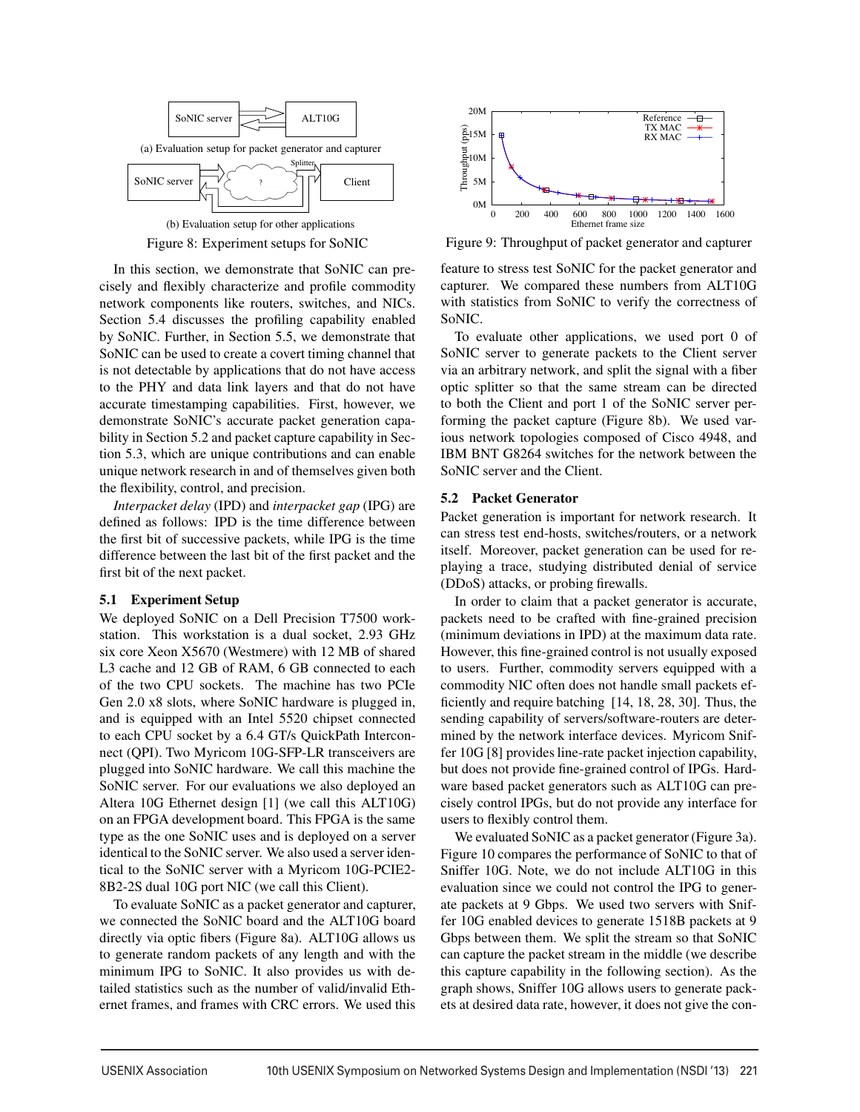



In this section, we demonstrate that SoNIC can precisely and flexibly characterize and profile commodity network components like routers, switches, and NICs. Section 5.4 discusses the profiling capability enabled by SoNIC. Further, in Section 5.5, we demonstrate that SoNIC can be used to create a covert timing channel that is not detectable by applications that do not have access to the PHY and data link layers and that do not have accurate timestamping capabilities. First, however, we demonstrate SoNIC's accurate packet generation capability in Section 5.2 and packet capture capability in Section 5.3, which are unique contributions and can enable unique network research in and of themselves given both the flexibility, control, and precision.

*Interpacket delay* (IPD) and *interpacket gap* (IPG) are defined as follows: IPD is the time difference between the first bit of successive packets, while IPG is the time difference between the last bit of the first packet and the first bit of the next packet.

#### 5.1 Experiment Setup

We deployed SoNIC on a Dell Precision T7500 workstation. This workstation is a dual socket, 2.93 GHz six core Xeon X5670 (Westmere) with 12 MB of shared L3 cache and 12 GB of RAM, 6 GB connected to each of the two CPU sockets. The machine has two PCIe Gen 2.0 x8 slots, where SoNIC hardware is plugged in, and is equipped with an Intel 5520 chipset connected to each CPU socket by a 6.4 GT/s QuickPath Interconnect (QPI). Two Myricom 10G-SFP-LR transceivers are plugged into SoNIC hardware. We call this machine the SoNIC server. For our evaluations we also deployed an Altera 10G Ethernet design [1] (we call this ALT10G) on an FPGA development board. This FPGA is the same type as the one SoNIC uses and is deployed on a server identical to the SoNIC server. We also used a server identical to the SoNIC server with a Myricom 10G-PCIE2- 8B2-2S dual 10G port NIC (we call this Client).

To evaluate SoNIC as a packet generator and capturer, we connected the SoNIC board and the ALT10G board directly via optic fibers (Figure 8a). ALT10G allows us to generate random packets of any length and with the minimum IPG to SoNIC. It also provides us with detailed statistics such as the number of valid/invalid Ethernet frames, and frames with CRC errors. We used this



Figure 9: Throughput of packet generator and capturer

feature to stress test SoNIC for the packet generator and capturer. We compared these numbers from ALT10G with statistics from SoNIC to verify the correctness of SoNIC.

To evaluate other applications, we used port 0 of SoNIC server to generate packets to the Client server via an arbitrary network, and split the signal with a fiber optic splitter so that the same stream can be directed to both the Client and port 1 of the SoNIC server performing the packet capture (Figure 8b). We used various network topologies composed of Cisco 4948, and IBM BNT G8264 switches for the network between the SoNIC server and the Client.

## 5.2 Packet Generator

Packet generation is important for network research. It can stress test end-hosts, switches/routers, or a network itself. Moreover, packet generation can be used for replaying a trace, studying distributed denial of service (DDoS) attacks, or probing firewalls.

In order to claim that a packet generator is accurate, packets need to be crafted with fine-grained precision (minimum deviations in IPD) at the maximum data rate. However, this fine-grained control is not usually exposed to users. Further, commodity servers equipped with a commodity NIC often does not handle small packets efficiently and require batching [14, 18, 28, 30]. Thus, the sending capability of servers/software-routers are determined by the network interface devices. Myricom Sniffer 10G [8] provides line-rate packet injection capability, but does not provide fine-grained control of IPGs. Hardware based packet generators such as ALT10G can precisely control IPGs, but do not provide any interface for users to flexibly control them.

We evaluated SoNIC as a packet generator (Figure 3a). Figure 10 compares the performance of SoNIC to that of Sniffer 10G. Note, we do not include ALT10G in this evaluation since we could not control the IPG to generate packets at 9 Gbps. We used two servers with Sniffer 10G enabled devices to generate 1518B packets at 9 Gbps between them. We split the stream so that SoNIC can capture the packet stream in the middle (we describe this capture capability in the following section). As the graph shows, Sniffer 10G allows users to generate packets at desired data rate, however, it does not give the con-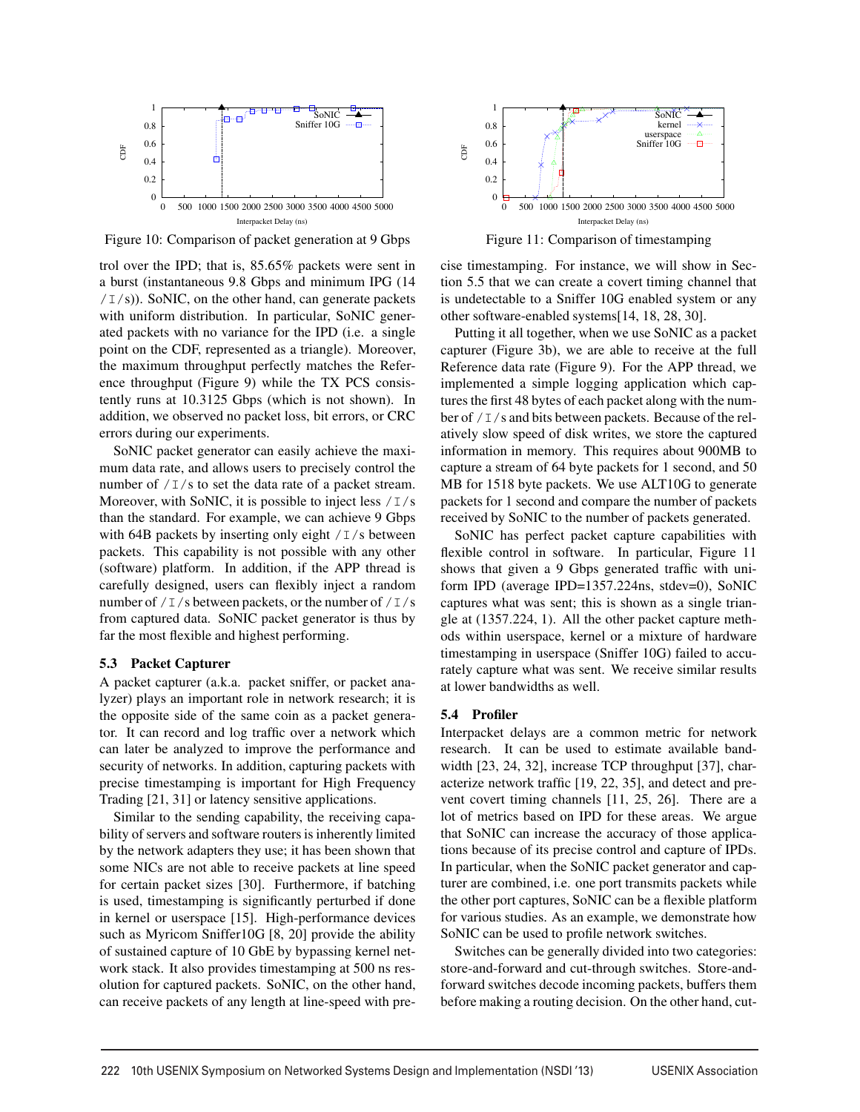

Figure 10: Comparison of packet generation at 9 Gbps

trol over the IPD; that is, 85.65% packets were sent in a burst (instantaneous 9.8 Gbps and minimum IPG (14  $/1/s$ ). SoNIC, on the other hand, can generate packets with uniform distribution. In particular, SoNIC generated packets with no variance for the IPD (i.e. a single point on the CDF, represented as a triangle). Moreover, the maximum throughput perfectly matches the Reference throughput (Figure 9) while the TX PCS consistently runs at 10.3125 Gbps (which is not shown). In addition, we observed no packet loss, bit errors, or CRC errors during our experiments.

SoNIC packet generator can easily achieve the maximum data rate, and allows users to precisely control the number of  $/\mathbb{I}/s$  to set the data rate of a packet stream. Moreover, with SoNIC, it is possible to inject less  $/1/s$ than the standard. For example, we can achieve 9 Gbps with 64B packets by inserting only eight  $/1/s$  between packets. This capability is not possible with any other (software) platform. In addition, if the APP thread is carefully designed, users can flexibly inject a random number of  $/1/s$  between packets, or the number of  $/1/s$ from captured data. SoNIC packet generator is thus by far the most flexible and highest performing.

#### 5.3 Packet Capturer

A packet capturer (a.k.a. packet sniffer, or packet analyzer) plays an important role in network research; it is the opposite side of the same coin as a packet generator. It can record and log traffic over a network which can later be analyzed to improve the performance and security of networks. In addition, capturing packets with precise timestamping is important for High Frequency Trading [21, 31] or latency sensitive applications.

Similar to the sending capability, the receiving capability of servers and software routers is inherently limited by the network adapters they use; it has been shown that some NICs are not able to receive packets at line speed for certain packet sizes [30]. Furthermore, if batching is used, timestamping is significantly perturbed if done in kernel or userspace [15]. High-performance devices such as Myricom Sniffer10G [8, 20] provide the ability of sustained capture of 10 GbE by bypassing kernel network stack. It also provides timestamping at 500 ns resolution for captured packets. SoNIC, on the other hand, can receive packets of any length at line-speed with pre-



Figure 11: Comparison of timestamping

cise timestamping. For instance, we will show in Section 5.5 that we can create a covert timing channel that is undetectable to a Sniffer 10G enabled system or any other software-enabled systems[14, 18, 28, 30].

Putting it all together, when we use SoNIC as a packet capturer (Figure 3b), we are able to receive at the full Reference data rate (Figure 9). For the APP thread, we implemented a simple logging application which captures the first 48 bytes of each packet along with the number of / I/s and bits between packets. Because of the relatively slow speed of disk writes, we store the captured information in memory. This requires about 900MB to capture a stream of 64 byte packets for 1 second, and 50 MB for 1518 byte packets. We use ALT10G to generate packets for 1 second and compare the number of packets received by SoNIC to the number of packets generated.

SoNIC has perfect packet capture capabilities with flexible control in software. In particular, Figure 11 shows that given a 9 Gbps generated traffic with uniform IPD (average IPD=1357.224ns, stdev=0), SoNIC captures what was sent; this is shown as a single triangle at (1357.224, 1). All the other packet capture methods within userspace, kernel or a mixture of hardware timestamping in userspace (Sniffer 10G) failed to accurately capture what was sent. We receive similar results at lower bandwidths as well.

#### 5.4 Profiler

Interpacket delays are a common metric for network research. It can be used to estimate available bandwidth [23, 24, 32], increase TCP throughput [37], characterize network traffic [19, 22, 35], and detect and prevent covert timing channels [11, 25, 26]. There are a lot of metrics based on IPD for these areas. We argue that SoNIC can increase the accuracy of those applications because of its precise control and capture of IPDs. In particular, when the SoNIC packet generator and capturer are combined, i.e. one port transmits packets while the other port captures, SoNIC can be a flexible platform for various studies. As an example, we demonstrate how SoNIC can be used to profile network switches.

Switches can be generally divided into two categories: store-and-forward and cut-through switches. Store-andforward switches decode incoming packets, buffers them before making a routing decision. On the other hand, cut-

 $\overline{1}$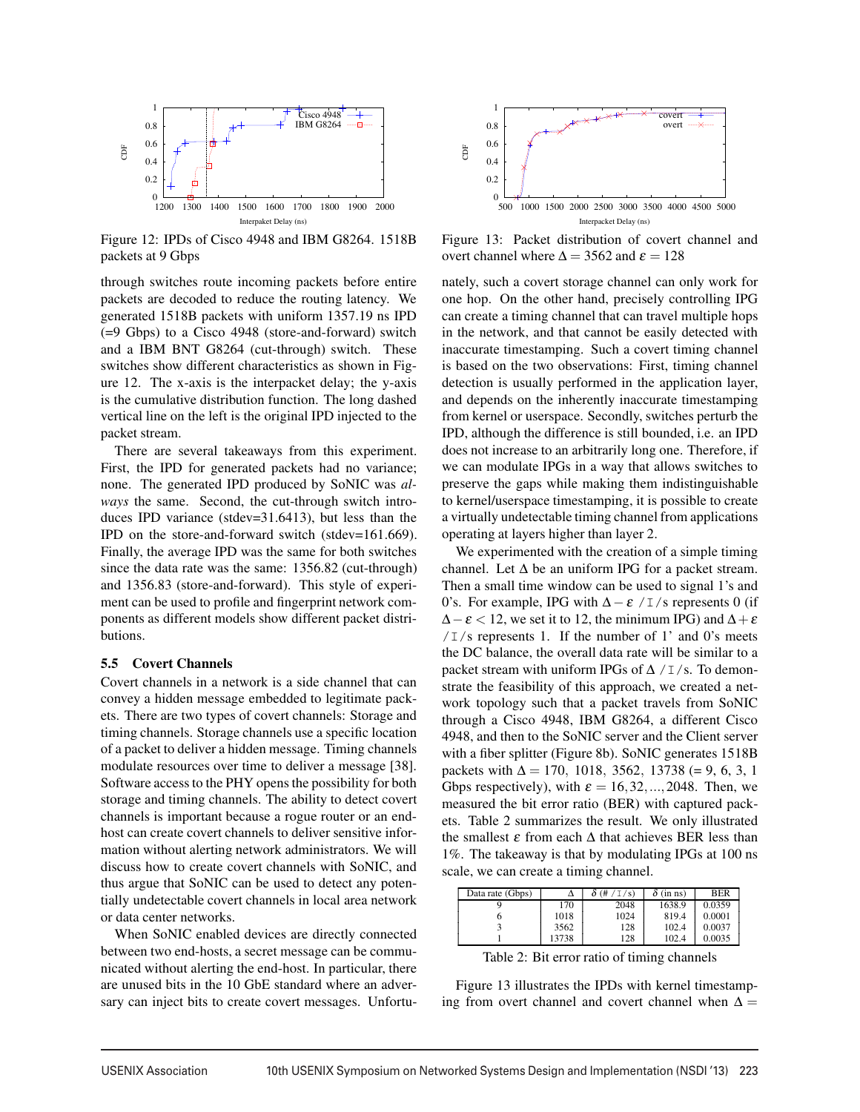

Figure 12: IPDs of Cisco 4948 and IBM G8264. 1518B packets at 9 Gbps

through switches route incoming packets before entire packets are decoded to reduce the routing latency. We generated 1518B packets with uniform 1357.19 ns IPD (=9 Gbps) to a Cisco 4948 (store-and-forward) switch and a IBM BNT G8264 (cut-through) switch. These switches show different characteristics as shown in Figure 12. The x-axis is the interpacket delay; the y-axis is the cumulative distribution function. The long dashed vertical line on the left is the original IPD injected to the packet stream.

There are several takeaways from this experiment. First, the IPD for generated packets had no variance; none. The generated IPD produced by SoNIC was *always* the same. Second, the cut-through switch introduces IPD variance (stdev=31.6413), but less than the IPD on the store-and-forward switch (stdev=161.669). Finally, the average IPD was the same for both switches since the data rate was the same: 1356.82 (cut-through) and 1356.83 (store-and-forward). This style of experiment can be used to profile and fingerprint network components as different models show different packet distributions.

#### 5.5 Covert Channels

Covert channels in a network is a side channel that can convey a hidden message embedded to legitimate packets. There are two types of covert channels: Storage and timing channels. Storage channels use a specific location of a packet to deliver a hidden message. Timing channels modulate resources over time to deliver a message [38]. Software access to the PHY opens the possibility for both storage and timing channels. The ability to detect covert channels is important because a rogue router or an endhost can create covert channels to deliver sensitive information without alerting network administrators. We will discuss how to create covert channels with SoNIC, and thus argue that SoNIC can be used to detect any potentially undetectable covert channels in local area network or data center networks.

When SoNIC enabled devices are directly connected between two end-hosts, a secret message can be communicated without alerting the end-host. In particular, there are unused bits in the 10 GbE standard where an adversary can inject bits to create covert messages. Unfortu-



Figure 13: Packet distribution of covert channel and overt channel where  $\Delta = 3562$  and  $\varepsilon = 128$ 

nately, such a covert storage channel can only work for one hop. On the other hand, precisely controlling IPG can create a timing channel that can travel multiple hops in the network, and that cannot be easily detected with inaccurate timestamping. Such a covert timing channel is based on the two observations: First, timing channel detection is usually performed in the application layer, and depends on the inherently inaccurate timestamping from kernel or userspace. Secondly, switches perturb the IPD, although the difference is still bounded, i.e. an IPD does not increase to an arbitrarily long one. Therefore, if we can modulate IPGs in a way that allows switches to preserve the gaps while making them indistinguishable to kernel/userspace timestamping, it is possible to create a virtually undetectable timing channel from applications operating at layers higher than layer 2.

We experimented with the creation of a simple timing channel. Let  $\Delta$  be an uniform IPG for a packet stream. Then a small time window can be used to signal 1's and 0's. For example, IPG with  $\Delta - \varepsilon$  / I/s represents 0 (if  $\Delta - \varepsilon$  < 12, we set it to 12, the minimum IPG) and  $\Delta + \varepsilon$  $/1/s$  represents 1. If the number of 1' and 0's meets the DC balance, the overall data rate will be similar to a packet stream with uniform IPGs of  $\Delta / I/s$ . To demonstrate the feasibility of this approach, we created a network topology such that a packet travels from SoNIC through a Cisco 4948, IBM G8264, a different Cisco 4948, and then to the SoNIC server and the Client server with a fiber splitter (Figure 8b). SoNIC generates 1518B packets with  $\Delta = 170$ , 1018, 3562, 13738 (= 9, 6, 3, 1 Gbps respectively), with  $\varepsilon = 16, 32, \dots, 2048$ . Then, we measured the bit error ratio (BER) with captured packets. Table 2 summarizes the result. We only illustrated the smallest  $\varepsilon$  from each  $\Delta$  that achieves BER less than 1%. The takeaway is that by modulating IPGs at 100 ns scale, we can create a timing channel.

| Data rate (Gbps) | Δ     | $\sqrt{s}$ | $(in \; ns)$ | <b>BER</b> |
|------------------|-------|------------|--------------|------------|
|                  | 170   | 2048       | 1638.9       | 0.0359     |
|                  | 1018  | 1024       | 819.4        | 0.0001     |
|                  | 3562  | 128        | 102.4        | 0.0037     |
|                  | 13738 | 128        | 102.4        | 0.0035     |

Table 2: Bit error ratio of timing channels

Figure 13 illustrates the IPDs with kernel timestamping from overt channel and covert channel when  $\Delta =$ 

 $\overline{1}$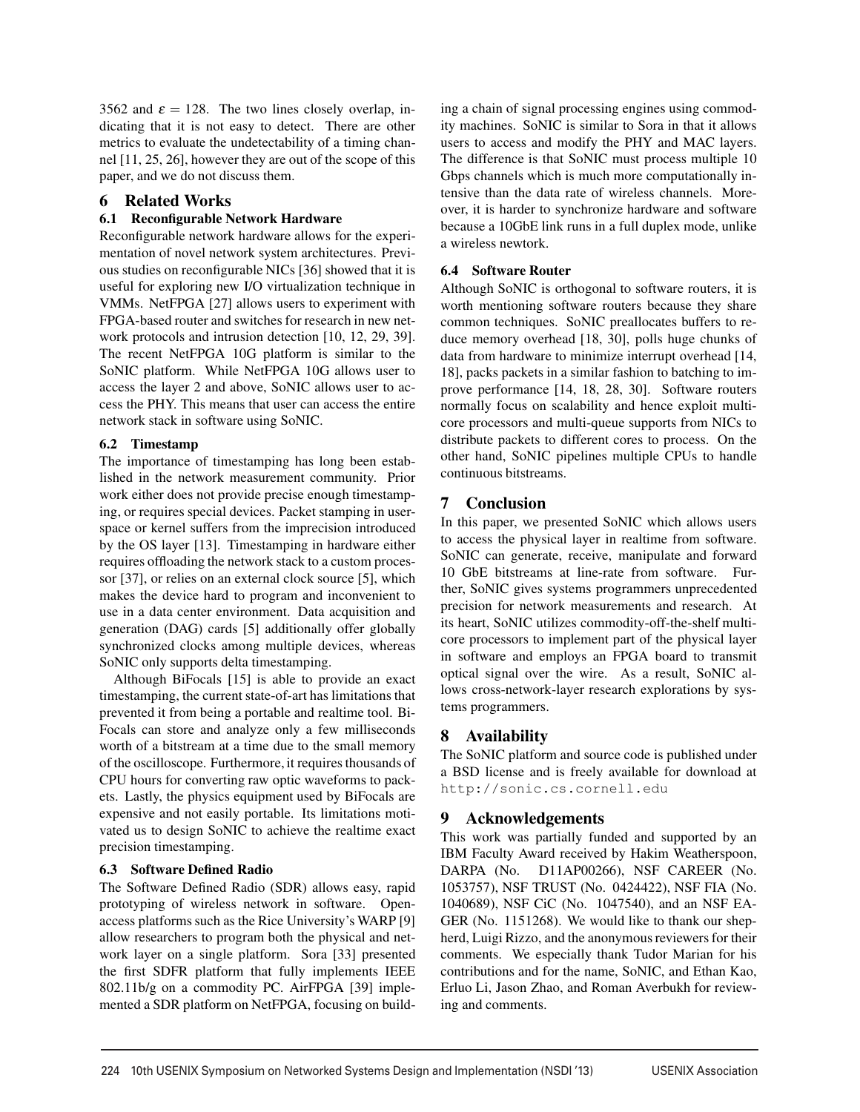3562 and  $\varepsilon = 128$ . The two lines closely overlap, indicating that it is not easy to detect. There are other metrics to evaluate the undetectability of a timing channel [11, 25, 26], however they are out of the scope of this paper, and we do not discuss them.

# 6 Related Works

# 6.1 Reconfigurable Network Hardware

Reconfigurable network hardware allows for the experimentation of novel network system architectures. Previous studies on reconfigurable NICs [36] showed that it is useful for exploring new I/O virtualization technique in VMMs. NetFPGA [27] allows users to experiment with FPGA-based router and switches for research in new network protocols and intrusion detection [10, 12, 29, 39]. The recent NetFPGA 10G platform is similar to the SoNIC platform. While NetFPGA 10G allows user to access the layer 2 and above, SoNIC allows user to access the PHY. This means that user can access the entire network stack in software using SoNIC.

## 6.2 Timestamp

The importance of timestamping has long been established in the network measurement community. Prior work either does not provide precise enough timestamping, or requires special devices. Packet stamping in userspace or kernel suffers from the imprecision introduced by the OS layer [13]. Timestamping in hardware either requires offloading the network stack to a custom processor [37], or relies on an external clock source [5], which makes the device hard to program and inconvenient to use in a data center environment. Data acquisition and generation (DAG) cards [5] additionally offer globally synchronized clocks among multiple devices, whereas SoNIC only supports delta timestamping.

Although BiFocals [15] is able to provide an exact timestamping, the current state-of-art has limitations that prevented it from being a portable and realtime tool. Bi-Focals can store and analyze only a few milliseconds worth of a bitstream at a time due to the small memory of the oscilloscope. Furthermore, it requires thousands of CPU hours for converting raw optic waveforms to packets. Lastly, the physics equipment used by BiFocals are expensive and not easily portable. Its limitations motivated us to design SoNIC to achieve the realtime exact precision timestamping.

### 6.3 Software Defined Radio

The Software Defined Radio (SDR) allows easy, rapid prototyping of wireless network in software. Openaccess platforms such as the Rice University's WARP [9] allow researchers to program both the physical and network layer on a single platform. Sora [33] presented the first SDFR platform that fully implements IEEE 802.11b/g on a commodity PC. AirFPGA [39] implemented a SDR platform on NetFPGA, focusing on building a chain of signal processing engines using commodity machines. SoNIC is similar to Sora in that it allows users to access and modify the PHY and MAC layers. The difference is that SoNIC must process multiple 10 Gbps channels which is much more computationally intensive than the data rate of wireless channels. Moreover, it is harder to synchronize hardware and software because a 10GbE link runs in a full duplex mode, unlike a wireless newtork.

# 6.4 Software Router

Although SoNIC is orthogonal to software routers, it is worth mentioning software routers because they share common techniques. SoNIC preallocates buffers to reduce memory overhead [18, 30], polls huge chunks of data from hardware to minimize interrupt overhead [14, 18], packs packets in a similar fashion to batching to improve performance [14, 18, 28, 30]. Software routers normally focus on scalability and hence exploit multicore processors and multi-queue supports from NICs to distribute packets to different cores to process. On the other hand, SoNIC pipelines multiple CPUs to handle continuous bitstreams.

# 7 Conclusion

In this paper, we presented SoNIC which allows users to access the physical layer in realtime from software. SoNIC can generate, receive, manipulate and forward 10 GbE bitstreams at line-rate from software. Further, SoNIC gives systems programmers unprecedented precision for network measurements and research. At its heart, SoNIC utilizes commodity-off-the-shelf multicore processors to implement part of the physical layer in software and employs an FPGA board to transmit optical signal over the wire. As a result, SoNIC allows cross-network-layer research explorations by systems programmers.

# 8 Availability

The SoNIC platform and source code is published under a BSD license and is freely available for download at http://sonic.cs.cornell.edu

# 9 Acknowledgements

This work was partially funded and supported by an IBM Faculty Award received by Hakim Weatherspoon, DARPA (No. D11AP00266), NSF CAREER (No. 1053757), NSF TRUST (No. 0424422), NSF FIA (No. 1040689), NSF CiC (No. 1047540), and an NSF EA-GER (No. 1151268). We would like to thank our shepherd, Luigi Rizzo, and the anonymous reviewers for their comments. We especially thank Tudor Marian for his contributions and for the name, SoNIC, and Ethan Kao, Erluo Li, Jason Zhao, and Roman Averbukh for reviewing and comments.